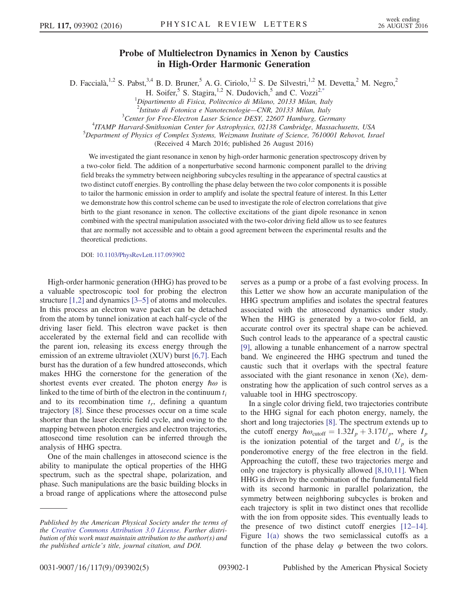## Probe of Multielectron Dynamics in Xenon by Caustics in High-Order Harmonic Generation

<span id="page-0-0"></span>D. Faccialà,<sup>1,2</sup> S. Pabst,<sup>3,4</sup> B. D. Bruner,<sup>5</sup> A. G. Ciriolo,<sup>1,2</sup> S. De Silvestri,<sup>1,2</sup> M. Devetta,<sup>2</sup> M. Negro,<sup>2</sup>

H. Soifer,<sup>5</sup> S. Stagira,<sup>1,2</sup> N. Dudovich,<sup>5</sup> and C. Vozzi<sup>2[,\\*](#page-4-0)</sup><br><sup>1</sup>Dipartimento di Fisica, Politecnico di Milano, 20133 Milan, Italy

<sup>2</sup> Istituto di Fotonica e Nanotecnologie—CNR, 20133 Milan, Italy <sup>3</sup> Center for Free Flectron Laser Science DESV, 22607 Hamburg, Cen

 $3$ Center for Free-Electron Laser Science DESY, 22607 Hamburg, Germany

<sup>4</sup> ITAMP Harvard-Smithsonian Center for Astrophysics, 02138 Cambridge, Massachusetts, USA

<sup>5</sup>Department of Physics of Complex Systems, Weizmann Institute of Science, 7610001 Rehovot, Israel

(Received 4 March 2016; published 26 August 2016)

We investigated the giant resonance in xenon by high-order harmonic generation spectroscopy driven by a two-color field. The addition of a nonperturbative second harmonic component parallel to the driving field breaks the symmetry between neighboring subcycles resulting in the appearance of spectral caustics at two distinct cutoff energies. By controlling the phase delay between the two color components it is possible to tailor the harmonic emission in order to amplify and isolate the spectral feature of interest. In this Letter we demonstrate how this control scheme can be used to investigate the role of electron correlations that give birth to the giant resonance in xenon. The collective excitations of the giant dipole resonance in xenon combined with the spectral manipulation associated with the two-color driving field allow us to see features that are normally not accessible and to obtain a good agreement between the experimental results and the theoretical predictions.

DOI: [10.1103/PhysRevLett.117.093902](http://dx.doi.org/10.1103/PhysRevLett.117.093902)

High-order harmonic generation (HHG) has proved to be a valuable spectroscopic tool for probing the electron structure [\[1,2\]](#page-4-1) and dynamics [\[3](#page-4-2)–5] of atoms and molecules. In this process an electron wave packet can be detached from the atom by tunnel ionization at each half-cycle of the driving laser field. This electron wave packet is then accelerated by the external field and can recollide with the parent ion, releasing its excess energy through the emission of an extreme ultraviolet (XUV) burst [\[6,7\]](#page-4-3). Each burst has the duration of a few hundred attoseconds, which makes HHG the cornerstone for the generation of the shortest events ever created. The photon energy  $\hbar\omega$  is linked to the time of birth of the electron in the continuum  $t_i$ and to its recombination time  $t_r$ , defining a quantum trajectory [\[8\].](#page-4-4) Since these processes occur on a time scale shorter than the laser electric field cycle, and owing to the mapping between photon energies and electron trajectories, attosecond time resolution can be inferred through the analysis of HHG spectra.

One of the main challenges in attosecond science is the ability to manipulate the optical properties of the HHG spectrum, such as the spectral shape, polarization, and phase. Such manipulations are the basic building blocks in a broad range of applications where the attosecond pulse serves as a pump or a probe of a fast evolving process. In this Letter we show how an accurate manipulation of the HHG spectrum amplifies and isolates the spectral features associated with the attosecond dynamics under study. When the HHG is generated by a two-color field, an accurate control over its spectral shape can be achieved. Such control leads to the appearance of a spectral caustic [\[9\]](#page-4-5), allowing a tunable enhancement of a narrow spectral band. We engineered the HHG spectrum and tuned the caustic such that it overlaps with the spectral feature associated with the giant resonance in xenon (Xe), demonstrating how the application of such control serves as a valuable tool in HHG spectroscopy.

In a single color driving field, two trajectories contribute to the HHG signal for each photon energy, namely, the short and long trajectories [\[8\].](#page-4-4) The spectrum extends up to the cutoff energy  $\hbar \omega_{\text{cutoff}} = 1.32I_p + 3.17U_p$ , where  $I_p$ is the ionization potential of the target and  $U_p$  is the ponderomotive energy of the free electron in the field. Approaching the cutoff, these two trajectories merge and only one trajectory is physically allowed [\[8,10,11\]](#page-4-4). When HHG is driven by the combination of the fundamental field with its second harmonic in parallel polarization, the symmetry between neighboring subcycles is broken and each trajectory is split in two distinct ones that recollide with the ion from opposite sides. This eventually leads to the presence of two distinct cutoff energies [\[12](#page-4-6)–14]. Figure [1\(a\)](#page-1-0) shows the two semiclassical cutoffs as a function of the phase delay  $\varphi$  between the two colors.

Published by the American Physical Society under the terms of the [Creative Commons Attribution 3.0 License.](http://creativecommons.org/licenses/by/3.0/) Further distribution of this work must maintain attribution to the author(s) and the published article's title, journal citation, and DOI.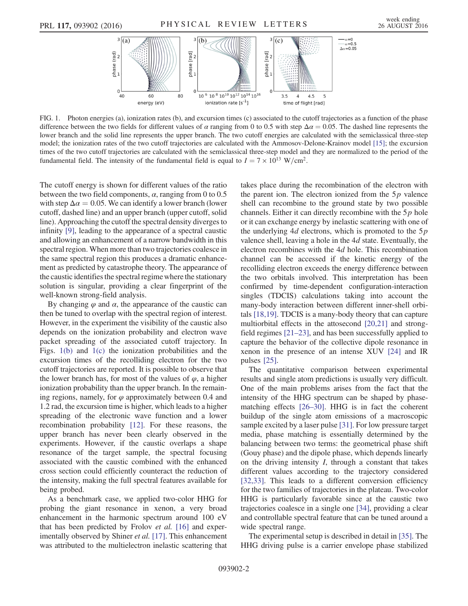<span id="page-1-0"></span>

FIG. 1. Photon energies (a), ionization rates (b), and excursion times (c) associated to the cutoff trajectories as a function of the phase difference between the two fields for different values of  $\alpha$  ranging from 0 to 0.5 with step  $\Delta \alpha = 0.05$ . The dashed line represents the lower branch and the solid line represents the upper branch. The two cutoff energies are calculated with the semiclassical three-step model; the ionization rates of the two cutoff trajectories are calculated with the Ammosov-Delone-Krainov model [\[15\];](#page-4-19) the excursion times of the two cutoff trajectories are calculated with the semiclassical three-step model and they are normalized to the period of the fundamental field. The intensity of the fundamental field is equal to  $I = 7 \times 10^{13}$  W/cm<sup>2</sup>.

The cutoff energy is shown for different values of the ratio between the two field components,  $\alpha$ , ranging from 0 to 0.5 with step  $\Delta \alpha = 0.05$ . We can identify a lower branch (lower cutoff, dashed line) and an upper branch (upper cutoff, solid line). Approaching the cutoff the spectral density diverges to infinity [\[9\],](#page-4-5) leading to the appearance of a spectral caustic and allowing an enhancement of a narrow bandwidth in this spectral region. When more than two trajectories coalesce in the same spectral region this produces a dramatic enhancement as predicted by catastrophe theory. The appearance of the caustic identifies the spectral regime where the stationary solution is singular, providing a clear fingerprint of the well-known strong-field analysis.

By changing  $\varphi$  and  $\alpha$ , the appearance of the caustic can then be tuned to overlap with the spectral region of interest. However, in the experiment the visibility of the caustic also depends on the ionization probability and electron wave packet spreading of the associated cutoff trajectory. In Figs. [1\(b\)](#page-1-0) and [1\(c\)](#page-1-0) the ionization probabilities and the excursion times of the recolliding electron for the two cutoff trajectories are reported. It is possible to observe that the lower branch has, for most of the values of  $\varphi$ , a higher ionization probability than the upper branch. In the remaining regions, namely, for  $\varphi$  approximately between 0.4 and 1.2 rad, the excursion time is higher, which leads to a higher spreading of the electronic wave function and a lower recombination probability [\[12\]](#page-4-6). For these reasons, the upper branch has never been clearly observed in the experiments. However, if the caustic overlaps a shape resonance of the target sample, the spectral focusing associated with the caustic combined with the enhanced cross section could efficiently counteract the reduction of the intensity, making the full spectral features available for being probed.

As a benchmark case, we applied two-color HHG for probing the giant resonance in xenon, a very broad enhancement in the harmonic spectrum around 100 eV that has been predicted by Frolov et al. [\[16\]](#page-4-7) and experimentally observed by Shiner *et al.* [\[17\]](#page-4-8). This enhancement was attributed to the multielectron inelastic scattering that takes place during the recombination of the electron with the parent ion. The electron ionized from the  $5p$  valence shell can recombine to the ground state by two possible channels. Either it can directly recombine with the  $5p$  hole or it can exchange energy by inelastic scattering with one of the underlying  $4d$  electrons, which is promoted to the  $5p$ valence shell, leaving a hole in the 4d state. Eventually, the electron recombines with the 4d hole. This recombination channel can be accessed if the kinetic energy of the recolliding electron exceeds the energy difference between the two orbitals involved. This interpretation has been confirmed by time-dependent configuration-interaction singles (TDCIS) calculations taking into account the many-body interaction between different inner-shell orbitals [\[18,19\]](#page-4-9). TDCIS is a many-body theory that can capture multiorbital effects in the attosecond [\[20,21\]](#page-4-10) and strongfield regimes [\[21](#page-4-11)–23], and has been successfully applied to capture the behavior of the collective dipole resonance in xenon in the presence of an intense XUV [\[24\]](#page-4-12) and IR pulses [\[25\].](#page-4-13)

The quantitative comparison between experimental results and single atom predictions is usually very difficult. One of the main problems arises from the fact that the intensity of the HHG spectrum can be shaped by phasematching effects [\[26](#page-4-14)–30]. HHG is in fact the coherent buildup of the single atom emissions of a macroscopic sample excited by a laser pulse [\[31\]](#page-4-15). For low pressure target media, phase matching is essentially determined by the balancing between two terms: the geometrical phase shift (Gouy phase) and the dipole phase, which depends linearly on the driving intensity I, through a constant that takes different values according to the trajectory considered [\[32,33\]](#page-4-16). This leads to a different conversion efficiency for the two families of trajectories in the plateau. Two-color HHG is particularly favorable since at the caustic two trajectories coalesce in a single one [\[34\]](#page-4-17), providing a clear and controllable spectral feature that can be tuned around a wide spectral range.

The experimental setup is described in detail in [\[35\].](#page-4-18) The HHG driving pulse is a carrier envelope phase stabilized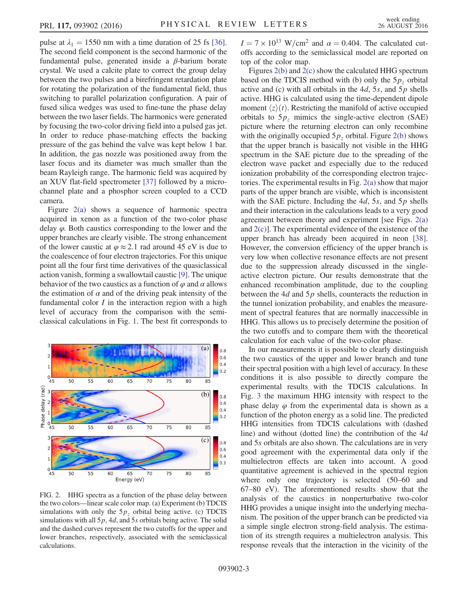pulse at  $\lambda_1 = 1550$  nm with a time duration of 25 fs [\[36\]](#page-4-20). The second field component is the second harmonic of the fundamental pulse, generated inside a β-barium borate crystal. We used a calcite plate to correct the group delay between the two pulses and a birefringent retardation plate for rotating the polarization of the fundamental field, thus switching to parallel polarization configuration. A pair of fused silica wedges was used to fine-tune the phase delay between the two laser fields. The harmonics were generated by focusing the two-color driving field into a pulsed gas jet. In order to reduce phase-matching effects the backing pressure of the gas behind the valve was kept below 1 bar. In addition, the gas nozzle was positioned away from the laser focus and its diameter was much smaller than the beam Rayleigh range. The harmonic field was acquired by an XUV flat-field spectrometer [\[37\]](#page-4-21) followed by a microchannel plate and a phosphor screen coupled to a CCD camera.

Figure [2\(a\)](#page-2-0) shows a sequence of harmonic spectra acquired in xenon as a function of the two-color phase delay  $\varphi$ . Both caustics corresponding to the lower and the upper branches are clearly visible. The strong enhancement of the lower caustic at  $\varphi \approx 2.1$  rad around 45 eV is due to the coalescence of four electron trajectories. For this unique point all the four first time derivatives of the quasiclassical action vanish, forming a swallowtail caustic [\[9\].](#page-4-5) The unique behavior of the two caustics as a function of  $\varphi$  and  $\alpha$  allows the estimation of  $\alpha$  and of the driving peak intensity of the fundamental color  $I$  in the interaction region with a high level of accuracy from the comparison with the semiclassical calculations in Fig. [1.](#page-1-0) The best fit corresponds to

<span id="page-2-0"></span>

FIG. 2. HHG spectra as a function of the phase delay between the two colors—linear scale color map. (a) Experiment (b) TDCIS simulations with only the  $5p<sub>z</sub>$  orbital being active. (c) TDCIS simulations with all  $5p$ , 4*d*, and 5*s* orbitals being active. The solid and the dashed curves represent the two cutoffs for the upper and lower branches, respectively, associated with the semiclassical calculations.

 $I = 7 \times 10^{13}$  W/cm<sup>2</sup> and  $\alpha = 0.404$ . The calculated cutoffs according to the semiclassical model are reported on top of the color map.

Figures [2\(b\)](#page-2-0) and [2\(c\)](#page-2-0) show the calculated HHG spectrum based on the TDCIS method with (b) only the  $5p<sub>z</sub>$  orbital active and (c) with all orbitals in the  $4d$ , 5s, and 5p shells active. HHG is calculated using the time-dependent dipole moment  $\langle z \rangle(t)$ . Restricting the manifold of active occupied orbitals to  $5p<sub>z</sub>$  mimics the single-active electron (SAE) picture where the returning electron can only recombine with the originally occupied  $5p<sub>z</sub>$  orbital. Figure [2\(b\)](#page-2-0) shows that the upper branch is basically not visible in the HHG spectrum in the SAE picture due to the spreading of the electron wave packet and especially due to the reduced ionization probability of the corresponding electron trajectories. The experimental results in Fig. [2\(a\)](#page-2-0) show that major parts of the upper branch are visible, which is inconsistent with the SAE picture. Including the  $4d$ , 5s, and 5p shells and their interaction in the calculations leads to a very good agreement between theory and experiment [see Figs. [2\(a\)](#page-2-0) and [2\(c\)\]](#page-2-0). The experimental evidence of the existence of the upper branch has already been acquired in neon [\[38\]](#page-4-22). However, the conversion efficiency of the upper branch is very low when collective resonance effects are not present due to the suppression already discussed in the singleactive electron picture. Our results demonstrate that the enhanced recombination amplitude, due to the coupling between the  $4d$  and  $5p$  shells, counteracts the reduction in the tunnel ionization probability, and enables the measurement of spectral features that are normally inaccessible in HHG. This allows us to precisely determine the position of the two cutoffs and to compare them with the theoretical calculation for each value of the two-color phase.

In our measurements it is possible to clearly distinguish the two caustics of the upper and lower branch and tune their spectral position with a high level of accuracy. In these conditions it is also possible to directly compare the experimental results with the TDCIS calculations. In Fig. [3](#page-3-0) the maximum HHG intensity with respect to the phase delay  $\varphi$  from the experimental data is shown as a function of the photon energy as a solid line. The predicted HHG intensities from TDCIS calculations with (dashed line) and without (dotted line) the contribution of the 4d and 5s orbitals are also shown. The calculations are in very good agreement with the experimental data only if the multielectron effects are taken into account. A good quantitative agreement is achieved in the spectral region where only one trajectory is selected (50–60 and 67–80 eV). The aforementioned results show that the analysis of the caustics in nonperturbative two-color HHG provides a unique insight into the underlying mechanism. The position of the upper branch can be predicted via a simple single electron strong-field analysis. The estimation of its strength requires a multielectron analysis. This response reveals that the interaction in the vicinity of the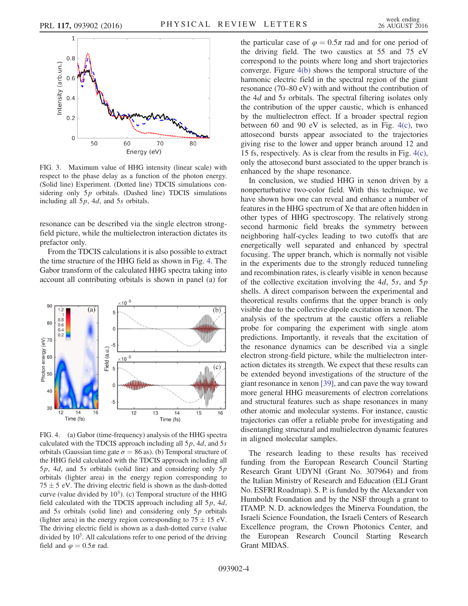<span id="page-3-0"></span>

FIG. 3. Maximum value of HHG intensity (linear scale) with respect to the phase delay as a function of the photon energy. (Solid line) Experiment. (Dotted line) TDCIS simulations considering only  $5p$  orbitals. (Dashed line) TDCIS simulations including all  $5p$ , 4*d*, and  $5s$  orbitals.

resonance can be described via the single electron strongfield picture, while the multielectron interaction dictates its prefactor only.

From the TDCIS calculations it is also possible to extract the time structure of the HHG field as shown in Fig. [4.](#page-3-1) The Gabor transform of the calculated HHG spectra taking into account all contributing orbitals is shown in panel (a) for

<span id="page-3-1"></span>

FIG. 4. (a) Gabor (time-frequency) analysis of the HHG spectra calculated with the TDCIS approach including all  $5p$ , 4d, and  $5s$ orbitals (Gaussian time gate  $\sigma = 86$  as). (b) Temporal structure of the HHG field calculated with the TDCIS approach including all  $5p$ , 4*d*, and 5*s* orbitals (solid line) and considering only  $5p$ orbitals (lighter area) in the energy region corresponding to  $75 \pm 5$  eV. The driving electric field is shown as the dash-dotted curve (value divided by  $10<sup>3</sup>$ ). (c) Temporal structure of the HHG field calculated with the TDCIS approach including all  $5p$ ,  $4d$ , and  $5s$  orbitals (solid line) and considering only  $5p$  orbitals (lighter area) in the energy region corresponding to  $75 \pm 15$  eV. The driving electric field is shown as a dash-dotted curve (value divided by  $10<sup>3</sup>$ . All calculations refer to one period of the driving field and  $\varphi = 0.5\pi$  rad.

the particular case of  $\varphi = 0.5\pi$  rad and for one period of the driving field. The two caustics at 55 and 75 eV correspond to the points where long and short trajectories converge. Figure [4\(b\)](#page-3-1) shows the temporal structure of the harmonic electric field in the spectral region of the giant resonance (70–80 eV) with and without the contribution of the 4d and 5s orbitals. The spectral filtering isolates only the contribution of the upper caustic, which is enhanced by the multielectron effect. If a broader spectral region between 60 and 90 eV is selected, as in Fig. [4\(c\)](#page-3-1), two attosecond bursts appear associated to the trajectories giving rise to the lower and upper branch around 12 and 15 fs, respectively. As is clear from the results in Fig. [4\(c\)](#page-3-1), only the attosecond burst associated to the upper branch is enhanced by the shape resonance.

In conclusion, we studied HHG in xenon driven by a nonperturbative two-color field. With this technique, we have shown how one can reveal and enhance a number of features in the HHG spectrum of Xe that are often hidden in other types of HHG spectroscopy. The relatively strong second harmonic field breaks the symmetry between neighboring half-cycles leading to two cutoffs that are energetically well separated and enhanced by spectral focusing. The upper branch, which is normally not visible in the experiments due to the strongly reduced tunneling and recombination rates, is clearly visible in xenon because of the collective excitation involving the  $4d$ , 5s, and 5p shells. A direct comparison between the experimental and theoretical results confirms that the upper branch is only visible due to the collective dipole excitation in xenon. The analysis of the spectrum at the caustic offers a reliable probe for comparing the experiment with single atom predictions. Importantly, it reveals that the excitation of the resonance dynamics can be described via a single electron strong-field picture, while the multielectron interaction dictates its strength. We expect that these results can be extended beyond investigations of the structure of the giant resonance in xenon [\[39\],](#page-4-23) and can pave the way toward more general HHG measurements of electron correlations and structural features such as shape resonances in many other atomic and molecular systems. For instance, caustic trajectories can offer a reliable probe for investigating and disentangling structural and multielectron dynamic features in aligned molecular samples.

The research leading to these results has received funding from the European Research Council Starting Research Grant UDYNI (Grant No. 307964) and from the Italian Ministry of Research and Education (ELI Grant No. ESFRI Roadmap). S. P. is funded by the Alexander von Humboldt Foundation and by the NSF through a grant to ITAMP. N. D. acknowledges the Minerva Foundation, the Israeli Science Foundation, the Israeli Centers of Research Excellence program, the Crown Photonics Center, and the European Research Council Starting Research Grant MIDAS.